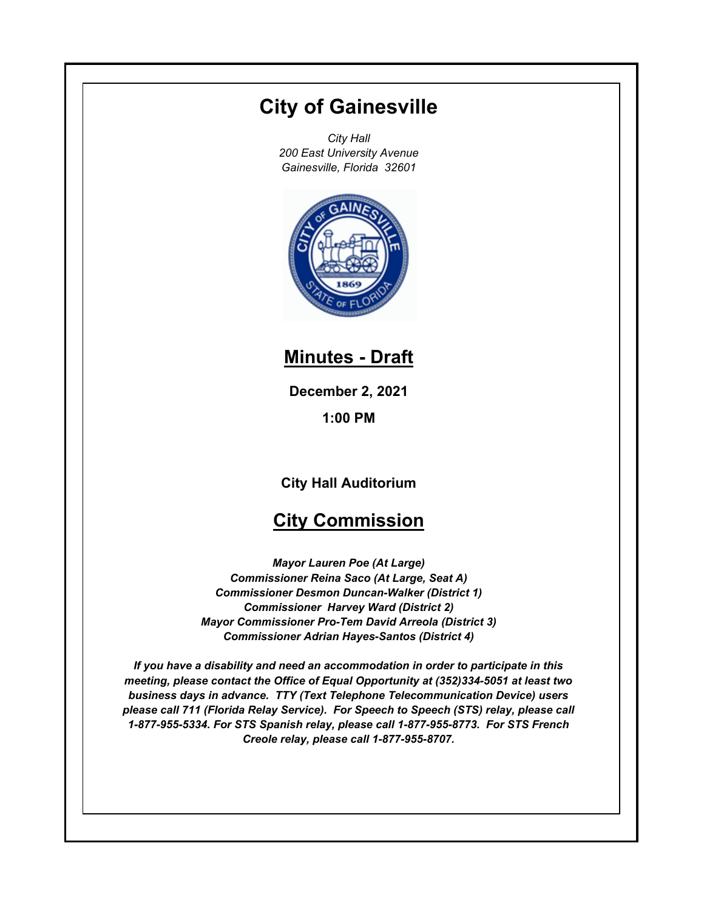# **City of Gainesville**

*City Hall 200 East University Avenue Gainesville, Florida 32601*



**Minutes - Draft**

**December 2, 2021 1:00 PM**

**City Hall Auditorium**

## **City Commission**

*Mayor Lauren Poe (At Large) Commissioner Reina Saco (At Large, Seat A) Commissioner Desmon Duncan-Walker (District 1) Commissioner Harvey Ward (District 2) Mayor Commissioner Pro-Tem David Arreola (District 3) Commissioner Adrian Hayes-Santos (District 4)*

*If you have a disability and need an accommodation in order to participate in this meeting, please contact the Office of Equal Opportunity at (352)334-5051 at least two business days in advance. TTY (Text Telephone Telecommunication Device) users please call 711 (Florida Relay Service). For Speech to Speech (STS) relay, please call 1-877-955-5334. For STS Spanish relay, please call 1-877-955-8773. For STS French Creole relay, please call 1-877-955-8707.*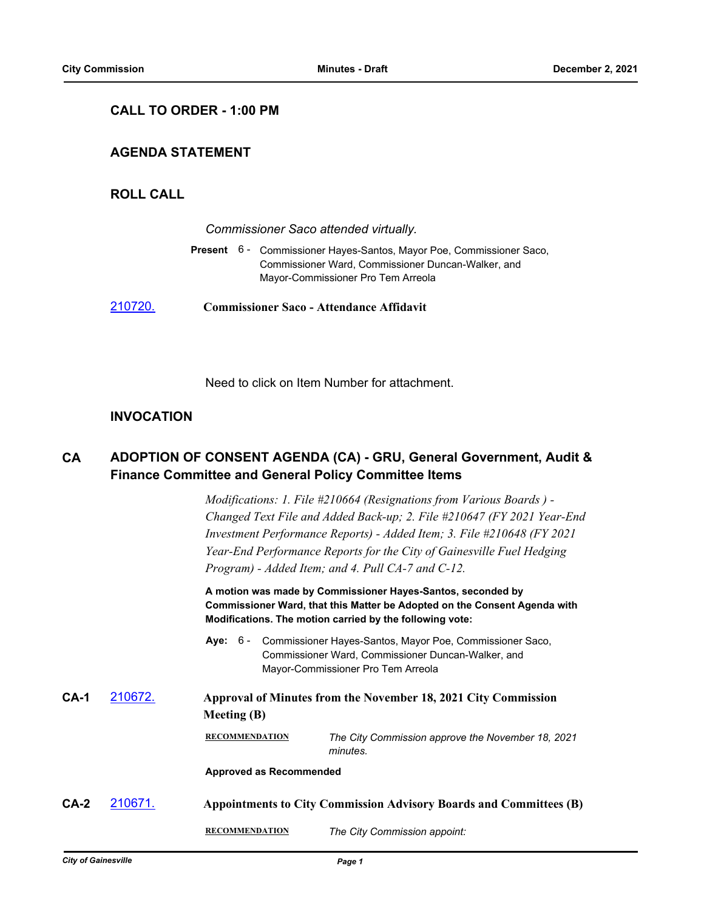### **CALL TO ORDER - 1:00 PM**

## **AGENDA STATEMENT**

## **ROLL CALL**

|         | Commissioner Saco attended virtually.                                                                                                                            |  |  |
|---------|------------------------------------------------------------------------------------------------------------------------------------------------------------------|--|--|
|         | Present 6 - Commissioner Hayes-Santos, Mayor Poe, Commissioner Saco,<br>Commissioner Ward, Commissioner Duncan-Walker, and<br>Mayor-Commissioner Pro Tem Arreola |  |  |
| 210720. | <b>Commissioner Saco - Attendance Affidavit</b>                                                                                                                  |  |  |

Need to click on Item Number for attachment.

## **INVOCATION**

#### **ADOPTION OF CONSENT AGENDA (CA) - GRU, General Government, Audit & Finance Committee and General Policy Committee Items CA**

*Modifications: 1. File #210664 (Resignations from Various Boards ) - Changed Text File and Added Back-up; 2. File #210647 (FY 2021 Year-End Investment Performance Reports) - Added Item; 3. File #210648 (FY 2021 Year-End Performance Reports for the City of Gainesville Fuel Hedging Program) - Added Item; and 4. Pull CA-7 and C-12.*

**A motion was made by Commissioner Hayes-Santos, seconded by Commissioner Ward, that this Matter be Adopted on the Consent Agenda with Modifications. The motion carried by the following vote:**

Aye: 6 - Commissioner Hayes-Santos, Mayor Poe, Commissioner Saco, Commissioner Ward, Commissioner Duncan-Walker, and Mayor-Commissioner Pro Tem Arreola

# **CA-1** [210672.](http://gainesville.legistar.com/gateway.aspx?m=l&id=/matter.aspx?key=33454) **Approval of Minutes from the November 18, 2021 City Commission Meeting (B)**

**RECOMMENDATION** *The City Commission approve the November 18, 2021 minutes.*

**Approved as Recommended**

# **CA-2** [210671.](http://gainesville.legistar.com/gateway.aspx?m=l&id=/matter.aspx?key=33453) **Appointments to City Commission Advisory Boards and Committees (B) RECOMMENDATION** *The City Commission appoint:*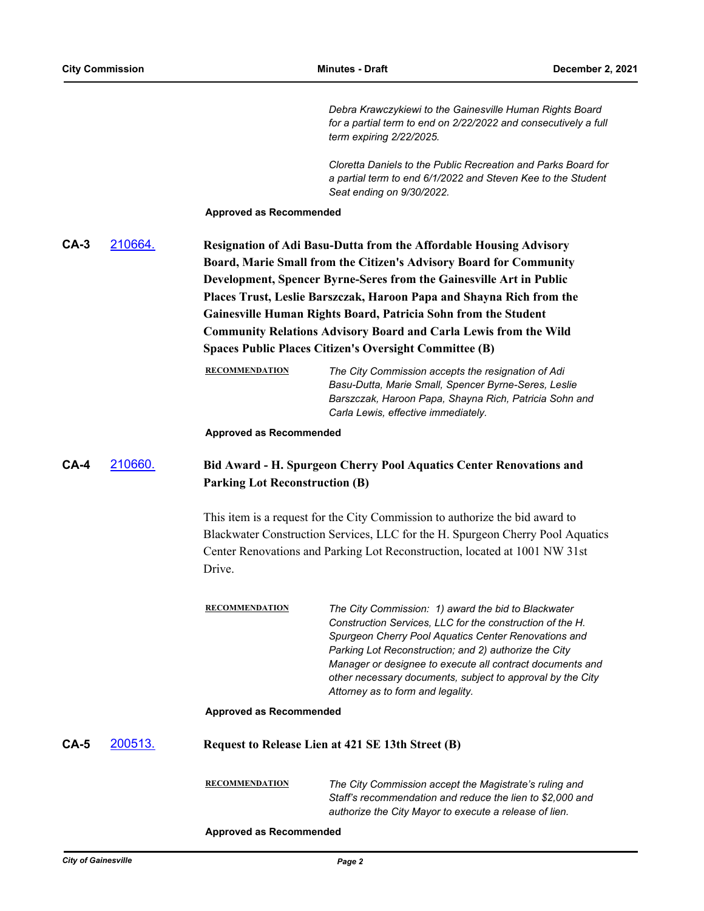*Debra Krawczykiewi to the Gainesville Human Rights Board for a partial term to end on 2/22/2022 and consecutively a full term expiring 2/22/2025.*

*Cloretta Daniels to the Public Recreation and Parks Board for a partial term to end 6/1/2022 and Steven Kee to the Student Seat ending on 9/30/2022.*

**Approved as Recommended**

| $CA-3$ | 210664. | <b>Resignation of Adi Basu-Dutta from the Affordable Housing Advisory</b> |
|--------|---------|---------------------------------------------------------------------------|
|        |         | Board, Marie Small from the Citizen's Advisory Board for Community        |
|        |         | Development, Spencer Byrne-Seres from the Gainesville Art in Public       |
|        |         | Places Trust, Leslie Barszczak, Haroon Papa and Shayna Rich from the      |
|        |         | Gainesville Human Rights Board, Patricia Sohn from the Student            |
|        |         | <b>Community Relations Advisory Board and Carla Lewis from the Wild</b>   |
|        |         | <b>Spaces Public Places Citizen's Oversight Committee (B)</b>             |
|        |         |                                                                           |

| <b>RECOMMENDATION</b> | The City Commission accepts the resignation of Adi     |
|-----------------------|--------------------------------------------------------|
|                       | Basu-Dutta, Marie Small, Spencer Byrne-Seres, Leslie   |
|                       | Barszczak, Haroon Papa, Shayna Rich, Patricia Sohn and |
|                       | Carla Lewis, effective immediately.                    |

**Approved as Recommended**

## **CA-4** [210660.](http://gainesville.legistar.com/gateway.aspx?m=l&id=/matter.aspx?key=33442) **Bid Award - H. Spurgeon Cherry Pool Aquatics Center Renovations and Parking Lot Reconstruction (B)**

This item is a request for the City Commission to authorize the bid award to Blackwater Construction Services, LLC for the H. Spurgeon Cherry Pool Aquatics Center Renovations and Parking Lot Reconstruction, located at 1001 NW 31st Drive.

| <b>RECOMMENDATION</b> | The City Commission: 1) award the bid to Blackwater        |
|-----------------------|------------------------------------------------------------|
|                       | Construction Services, LLC for the construction of the H.  |
|                       | Spurgeon Cherry Pool Aquatics Center Renovations and       |
|                       | Parking Lot Reconstruction; and 2) authorize the City      |
|                       | Manager or designee to execute all contract documents and  |
|                       | other necessary documents, subject to approval by the City |
|                       | Attorney as to form and legality.                          |
|                       |                                                            |

### **Approved as Recommended**

## **CA-5** [200513.](http://gainesville.legistar.com/gateway.aspx?m=l&id=/matter.aspx?key=32056) **Request to Release Lien at 421 SE 13th Street (B)**

**RECOMMENDATION** *The City Commission accept the Magistrate's ruling and Staff's recommendation and reduce the lien to \$2,000 and authorize the City Mayor to execute a release of lien.*

**Approved as Recommended**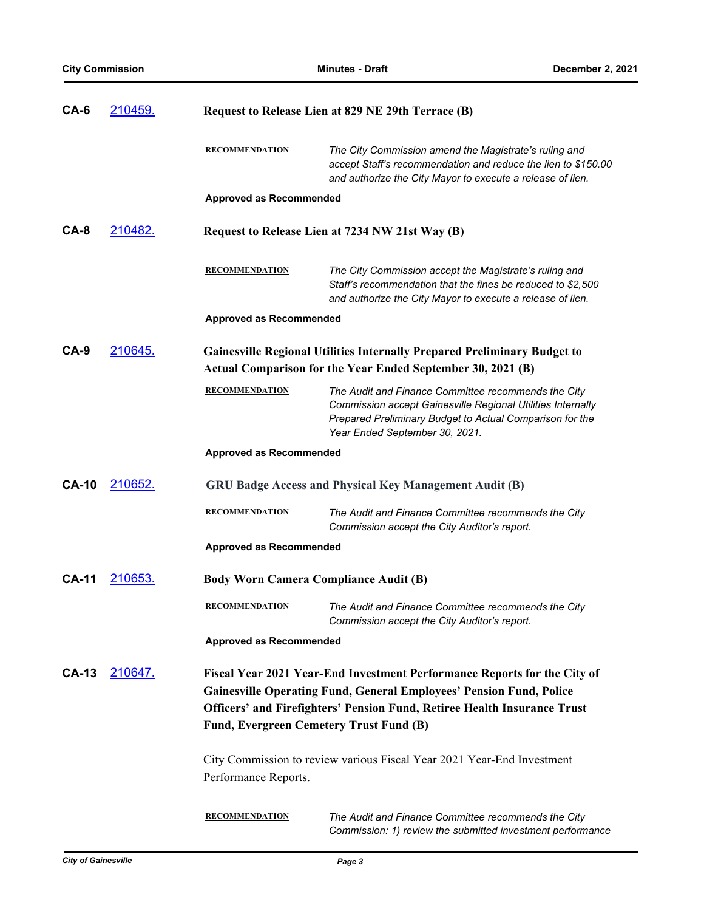| $CA-6$       | 210459.         | Request to Release Lien at 829 NE 29th Terrace (B) |                                                                                                                                                                                                                                    |
|--------------|-----------------|----------------------------------------------------|------------------------------------------------------------------------------------------------------------------------------------------------------------------------------------------------------------------------------------|
|              |                 | <b>RECOMMENDATION</b>                              | The City Commission amend the Magistrate's ruling and<br>accept Staff's recommendation and reduce the lien to \$150.00<br>and authorize the City Mayor to execute a release of lien.                                               |
|              |                 | <b>Approved as Recommended</b>                     |                                                                                                                                                                                                                                    |
| CA-8         | <u> 210482.</u> |                                                    | Request to Release Lien at 7234 NW 21st Way (B)                                                                                                                                                                                    |
|              |                 | <b>RECOMMENDATION</b>                              | The City Commission accept the Magistrate's ruling and<br>Staff's recommendation that the fines be reduced to \$2,500<br>and authorize the City Mayor to execute a release of lien.                                                |
|              |                 | <b>Approved as Recommended</b>                     |                                                                                                                                                                                                                                    |
| $CA-9$       | 210645.         |                                                    | <b>Gainesville Regional Utilities Internally Prepared Preliminary Budget to</b><br><b>Actual Comparison for the Year Ended September 30, 2021 (B)</b>                                                                              |
|              |                 | <b>RECOMMENDATION</b>                              | The Audit and Finance Committee recommends the City<br>Commission accept Gainesville Regional Utilities Internally<br>Prepared Preliminary Budget to Actual Comparison for the<br>Year Ended September 30, 2021.                   |
|              |                 | <b>Approved as Recommended</b>                     |                                                                                                                                                                                                                                    |
| <b>CA-10</b> | 210652.         |                                                    | <b>GRU Badge Access and Physical Key Management Audit (B)</b>                                                                                                                                                                      |
|              |                 | <b>RECOMMENDATION</b>                              | The Audit and Finance Committee recommends the City<br>Commission accept the City Auditor's report.                                                                                                                                |
|              |                 | <b>Approved as Recommended</b>                     |                                                                                                                                                                                                                                    |
| <b>CA-11</b> | 210653.         | <b>Body Worn Camera Compliance Audit (B)</b>       |                                                                                                                                                                                                                                    |
|              |                 | <b>RECOMMENDATION</b>                              | The Audit and Finance Committee recommends the City<br>Commission accept the City Auditor's report.                                                                                                                                |
|              |                 | <b>Approved as Recommended</b>                     |                                                                                                                                                                                                                                    |
| <b>CA-13</b> | 210647.         | Fund, Evergreen Cemetery Trust Fund (B)            | Fiscal Year 2021 Year-End Investment Performance Reports for the City of<br><b>Gainesville Operating Fund, General Employees' Pension Fund, Police</b><br>Officers' and Firefighters' Pension Fund, Retiree Health Insurance Trust |
|              |                 | Performance Reports.                               | City Commission to review various Fiscal Year 2021 Year-End Investment                                                                                                                                                             |
|              |                 | <b>RECOMMENDATION</b>                              | The Audit and Finance Committee recommends the City<br>Commission: 1) review the submitted investment performance                                                                                                                  |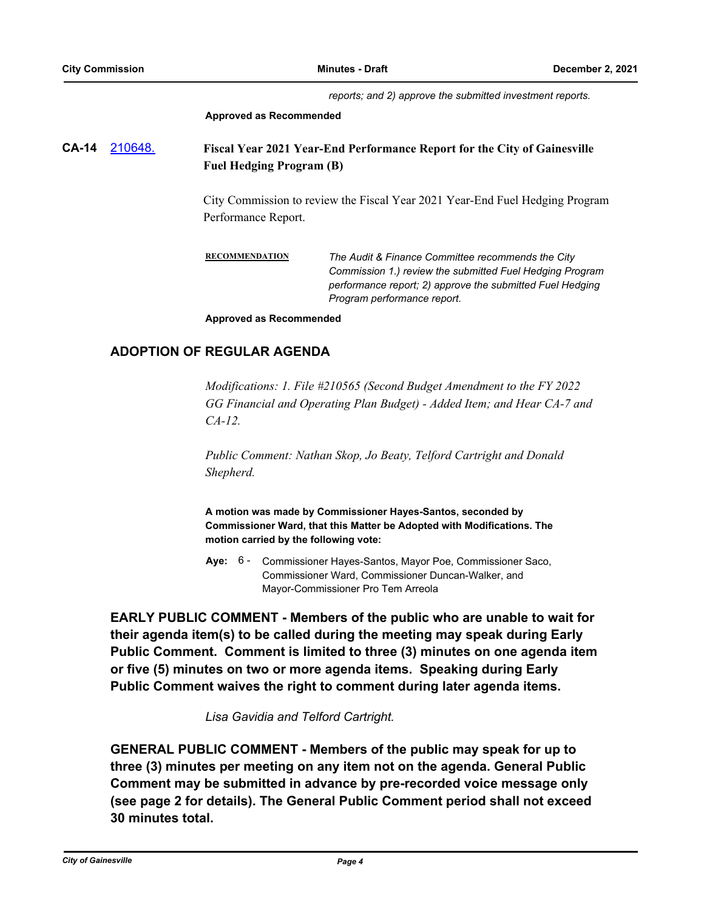*reports; and 2) approve the submitted investment reports.*

#### **Approved as Recommended**

**CA-14** [210648.](http://gainesville.legistar.com/gateway.aspx?m=l&id=/matter.aspx?key=33430) **Fiscal Year 2021 Year-End Performance Report for the City of Gainesville Fuel Hedging Program (B)**

> City Commission to review the Fiscal Year 2021 Year-End Fuel Hedging Program Performance Report.

**RECOMMENDATION** *The Audit & Finance Committee recommends the City Commission 1.) review the submitted Fuel Hedging Program performance report; 2) approve the submitted Fuel Hedging Program performance report.*

**Approved as Recommended**

## **ADOPTION OF REGULAR AGENDA**

*Modifications: 1. File #210565 (Second Budget Amendment to the FY 2022 GG Financial and Operating Plan Budget) - Added Item; and Hear CA-7 and CA-12.*

*Public Comment: Nathan Skop, Jo Beaty, Telford Cartright and Donald Shepherd.*

**A motion was made by Commissioner Hayes-Santos, seconded by Commissioner Ward, that this Matter be Adopted with Modifications. The motion carried by the following vote:**

**Aye:** Commissioner Hayes-Santos, Mayor Poe, Commissioner Saco, Commissioner Ward, Commissioner Duncan-Walker, and Mayor-Commissioner Pro Tem Arreola Aye: 6 -

**EARLY PUBLIC COMMENT - Members of the public who are unable to wait for their agenda item(s) to be called during the meeting may speak during Early Public Comment. Comment is limited to three (3) minutes on one agenda item or five (5) minutes on two or more agenda items. Speaking during Early Public Comment waives the right to comment during later agenda items.**

*Lisa Gavidia and Telford Cartright.*

**GENERAL PUBLIC COMMENT - Members of the public may speak for up to three (3) minutes per meeting on any item not on the agenda. General Public Comment may be submitted in advance by pre-recorded voice message only (see page 2 for details). The General Public Comment period shall not exceed 30 minutes total.**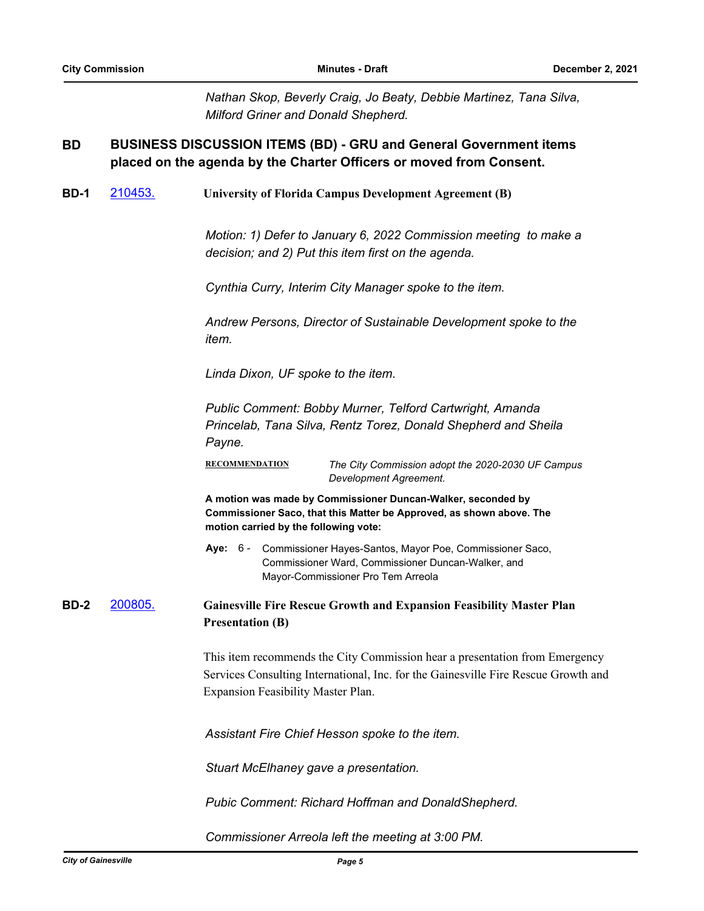*Nathan Skop, Beverly Craig, Jo Beaty, Debbie Martinez, Tana Silva, Milford Griner and Donald Shepherd.*

#### **BUSINESS DISCUSSION ITEMS (BD) - GRU and General Government items placed on the agenda by the Charter Officers or moved from Consent. BD**

**BD-1** [210453.](http://gainesville.legistar.com/gateway.aspx?m=l&id=/matter.aspx?key=33235) **University of Florida Campus Development Agreement (B)**

*Motion: 1) Defer to January 6, 2022 Commission meeting to make a decision; and 2) Put this item first on the agenda.*

*Cynthia Curry, Interim City Manager spoke to the item.*

*Andrew Persons, Director of Sustainable Development spoke to the item.*

*Linda Dixon, UF spoke to the item.*

*Public Comment: Bobby Murner, Telford Cartwright, Amanda Princelab, Tana Silva, Rentz Torez, Donald Shepherd and Sheila Payne.*

**RECOMMENDATION** *The City Commission adopt the 2020-2030 UF Campus Development Agreement.*

**A motion was made by Commissioner Duncan-Walker, seconded by Commissioner Saco, that this Matter be Approved, as shown above. The motion carried by the following vote:**

Aye: 6 - Commissioner Hayes-Santos, Mayor Poe, Commissioner Saco, Commissioner Ward, Commissioner Duncan-Walker, and Mayor-Commissioner Pro Tem Arreola

**BD-2** [200805.](http://gainesville.legistar.com/gateway.aspx?m=l&id=/matter.aspx?key=32348) **Gainesville Fire Rescue Growth and Expansion Feasibility Master Plan Presentation (B)**

> This item recommends the City Commission hear a presentation from Emergency Services Consulting International, Inc. for the Gainesville Fire Rescue Growth and Expansion Feasibility Master Plan.

*Assistant Fire Chief Hesson spoke to the item.*

*Stuart McElhaney gave a presentation.*

*Pubic Comment: Richard Hoffman and DonaldShepherd.*

*Commissioner Arreola left the meeting at 3:00 PM.*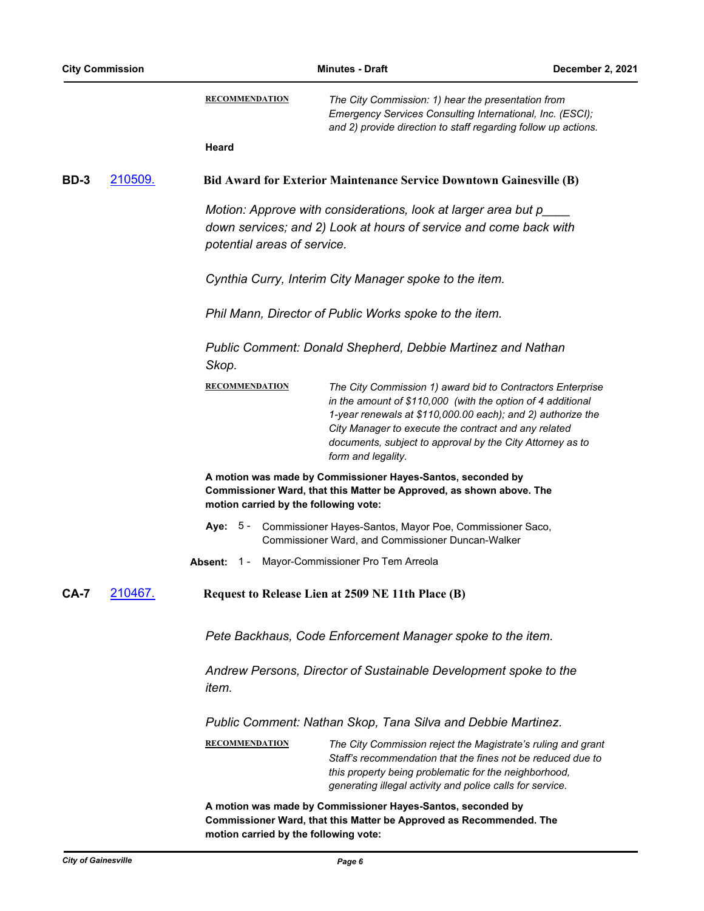| <b>City Commission</b> |         |                                       | <b>Minutes - Draft</b>                                                                                                                                                                                                                                                                                                              |  |  |
|------------------------|---------|---------------------------------------|-------------------------------------------------------------------------------------------------------------------------------------------------------------------------------------------------------------------------------------------------------------------------------------------------------------------------------------|--|--|
|                        |         | <b>RECOMMENDATION</b>                 | The City Commission: 1) hear the presentation from<br>Emergency Services Consulting International, Inc. (ESCI);<br>and 2) provide direction to staff regarding follow up actions.                                                                                                                                                   |  |  |
|                        |         | Heard                                 |                                                                                                                                                                                                                                                                                                                                     |  |  |
| <b>BD-3</b>            | 210509. |                                       | <b>Bid Award for Exterior Maintenance Service Downtown Gainesville (B)</b>                                                                                                                                                                                                                                                          |  |  |
|                        |         | potential areas of service.           | Motion: Approve with considerations, look at larger area but p_<br>down services; and 2) Look at hours of service and come back with                                                                                                                                                                                                |  |  |
|                        |         |                                       | Cynthia Curry, Interim City Manager spoke to the item.                                                                                                                                                                                                                                                                              |  |  |
|                        |         |                                       | Phil Mann, Director of Public Works spoke to the item.                                                                                                                                                                                                                                                                              |  |  |
|                        |         | Skop.                                 | <b>Public Comment: Donald Shepherd, Debbie Martinez and Nathan</b>                                                                                                                                                                                                                                                                  |  |  |
|                        |         | <b>RECOMMENDATION</b>                 | The City Commission 1) award bid to Contractors Enterprise<br>in the amount of \$110,000 (with the option of 4 additional<br>1-year renewals at \$110,000.00 each); and 2) authorize the<br>City Manager to execute the contract and any related<br>documents, subject to approval by the City Attorney as to<br>form and legality. |  |  |
|                        |         | motion carried by the following vote: | A motion was made by Commissioner Hayes-Santos, seconded by<br>Commissioner Ward, that this Matter be Approved, as shown above. The                                                                                                                                                                                                 |  |  |
|                        |         | Aye:                                  | 5 - Commissioner Hayes-Santos, Mayor Poe, Commissioner Saco,<br>Commissioner Ward, and Commissioner Duncan-Walker                                                                                                                                                                                                                   |  |  |
|                        |         | Absent:<br>$1 -$                      | Mayor-Commissioner Pro Tem Arreola                                                                                                                                                                                                                                                                                                  |  |  |
| <b>CA-7</b>            | 210467. |                                       | Request to Release Lien at 2509 NE 11th Place (B)                                                                                                                                                                                                                                                                                   |  |  |
|                        |         |                                       | Pete Backhaus, Code Enforcement Manager spoke to the item.                                                                                                                                                                                                                                                                          |  |  |
|                        |         | item.                                 | Andrew Persons, Director of Sustainable Development spoke to the                                                                                                                                                                                                                                                                    |  |  |
|                        |         |                                       | Public Comment: Nathan Skop, Tana Silva and Debbie Martinez.                                                                                                                                                                                                                                                                        |  |  |
|                        |         | <b>RECOMMENDATION</b>                 | The City Commission reject the Magistrate's ruling and grant<br>Staff's recommendation that the fines not be reduced due to<br>this property being problematic for the neighborhood,<br>generating illegal activity and police calls for service.                                                                                   |  |  |
|                        |         | motion carried by the following vote: | A motion was made by Commissioner Hayes-Santos, seconded by<br>Commissioner Ward, that this Matter be Approved as Recommended. The                                                                                                                                                                                                  |  |  |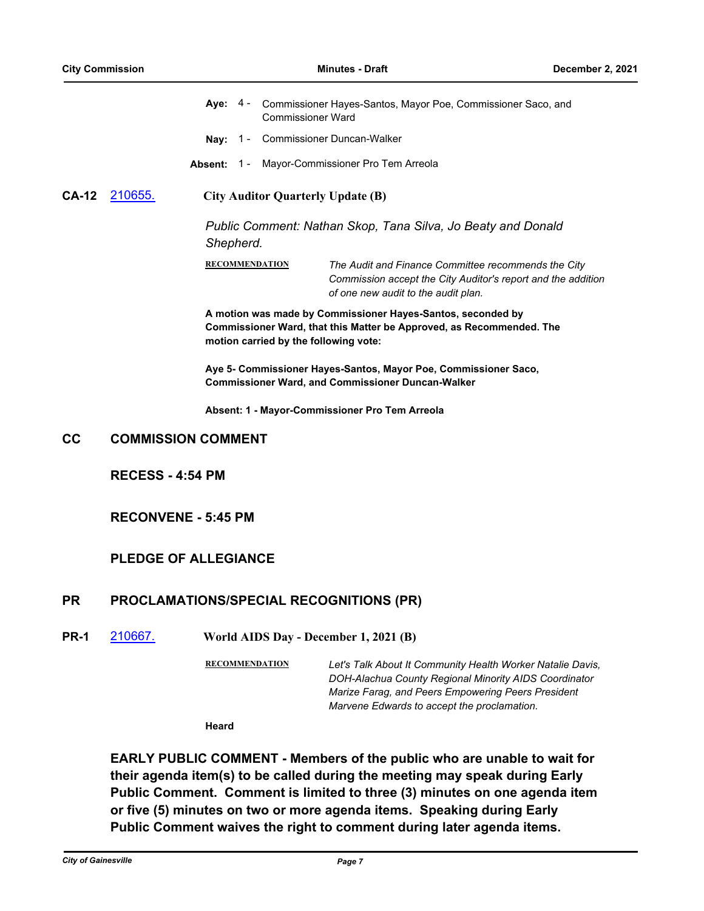|  | Aye: 4 - Commissioner Hayes-Santos, Mayor Poe, Commissioner Saco, and |
|--|-----------------------------------------------------------------------|
|  | Commissioner Ward                                                     |

- **Nay:** 1 Commissioner Duncan-Walker
- **Absent:** 1 Mayor-Commissioner Pro Tem Arreola

### **CA-12** [210655.](http://gainesville.legistar.com/gateway.aspx?m=l&id=/matter.aspx?key=33437) **City Auditor Quarterly Update (B)**

*Public Comment: Nathan Skop, Tana Silva, Jo Beaty and Donald Shepherd.*

**RECOMMENDATION** *The Audit and Finance Committee recommends the City Commission accept the City Auditor's report and the addition of one new audit to the audit plan.*

**A motion was made by Commissioner Hayes-Santos, seconded by Commissioner Ward, that this Matter be Approved, as Recommended. The motion carried by the following vote:**

**Aye 5- Commissioner Hayes-Santos, Mayor Poe, Commissioner Saco, Commissioner Ward, and Commissioner Duncan-Walker**

**Absent: 1 - Mayor-Commissioner Pro Tem Arreola**

## **CC COMMISSION COMMENT**

**RECESS - 4:54 PM**

## **RECONVENE - 5:45 PM**

## **PLEDGE OF ALLEGIANCE**

## **PR PROCLAMATIONS/SPECIAL RECOGNITIONS (PR)**

**PR-1** [210667.](http://gainesville.legistar.com/gateway.aspx?m=l&id=/matter.aspx?key=33449) **World AIDS Day - December 1, 2021 (B)**

**RECOMMENDATION** *Let's Talk About It Community Health Worker Natalie Davis, DOH-Alachua County Regional Minority AIDS Coordinator Marize Farag, and Peers Empowering Peers President Marvene Edwards to accept the proclamation.*

**Heard**

**EARLY PUBLIC COMMENT - Members of the public who are unable to wait for their agenda item(s) to be called during the meeting may speak during Early Public Comment. Comment is limited to three (3) minutes on one agenda item or five (5) minutes on two or more agenda items. Speaking during Early Public Comment waives the right to comment during later agenda items.**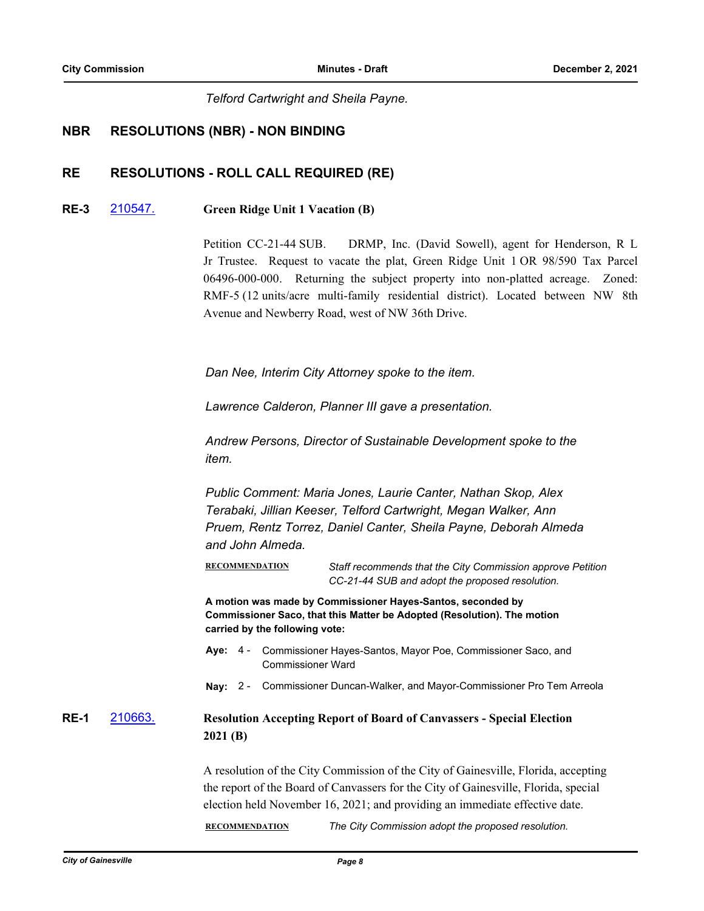*Telford Cartwright and Sheila Payne.*

## **NBR RESOLUTIONS (NBR) - NON BINDING**

## **RE RESOLUTIONS - ROLL CALL REQUIRED (RE)**

## **RE-3** [210547.](http://gainesville.legistar.com/gateway.aspx?m=l&id=/matter.aspx?key=33329) **Green Ridge Unit 1 Vacation (B)**

Petition CC-21-44 SUB. DRMP, Inc. (David Sowell), agent for Henderson, R L Jr Trustee. Request to vacate the plat, Green Ridge Unit 1 OR 98/590 Tax Parcel 06496-000-000. Returning the subject property into non-platted acreage. Zoned: RMF-5 (12 units/acre multi-family residential district). Located between NW 8th Avenue and Newberry Road, west of NW 36th Drive.

*Dan Nee, Interim City Attorney spoke to the item.*

*Lawrence Calderon, Planner III gave a presentation.*

*Andrew Persons, Director of Sustainable Development spoke to the item.*

*Public Comment: Maria Jones, Laurie Canter, Nathan Skop, Alex Terabaki, Jillian Keeser, Telford Cartwright, Megan Walker, Ann Pruem, Rentz Torrez, Daniel Canter, Sheila Payne, Deborah Almeda and John Almeda.*

**RECOMMENDATION** *Staff recommends that the City Commission approve Petition CC-21-44 SUB and adopt the proposed resolution.*

**A motion was made by Commissioner Hayes-Santos, seconded by Commissioner Saco, that this Matter be Adopted (Resolution). The motion carried by the following vote:**

- Aye: 4 Commissioner Hayes-Santos, Mayor Poe, Commissioner Saco, and Commissioner Ward
- **Nay:** 2 Commissioner Duncan-Walker, and Mayor-Commissioner Pro Tem Arreola

**RE-1** [210663.](http://gainesville.legistar.com/gateway.aspx?m=l&id=/matter.aspx?key=33445) **Resolution Accepting Report of Board of Canvassers - Special Election 2021 (B)**

> A resolution of the City Commission of the City of Gainesville, Florida, accepting the report of the Board of Canvassers for the City of Gainesville, Florida, special election held November 16, 2021; and providing an immediate effective date.

**RECOMMENDATION** *The City Commission adopt the proposed resolution.*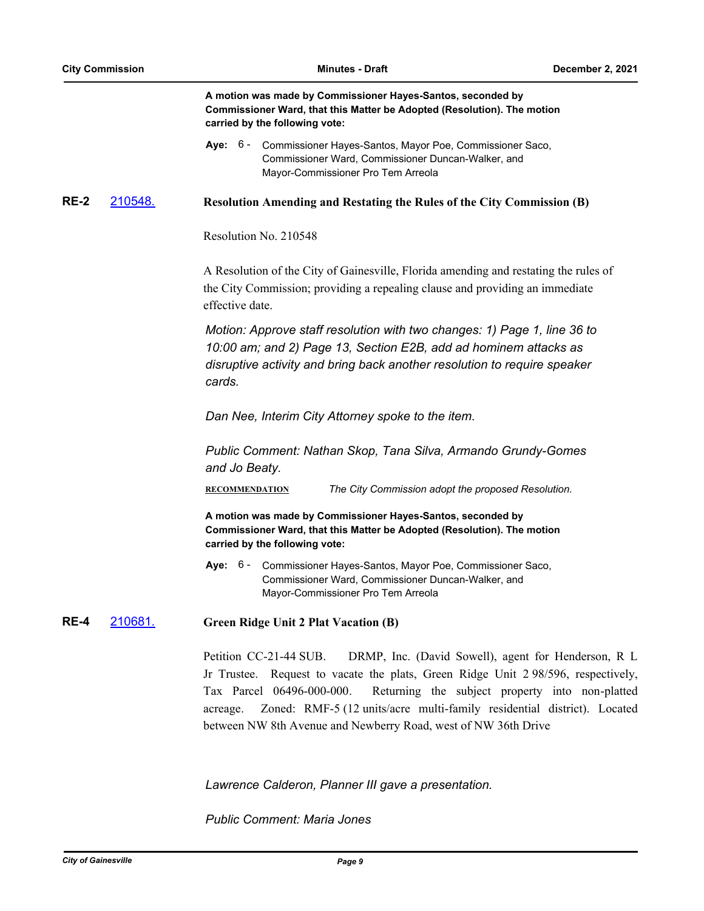|             |         | A motion was made by Commissioner Hayes-Santos, seconded by<br>Commissioner Ward, that this Matter be Adopted (Resolution). The motion<br>carried by the following vote:                                                                                                                                                                                                                                   |
|-------------|---------|------------------------------------------------------------------------------------------------------------------------------------------------------------------------------------------------------------------------------------------------------------------------------------------------------------------------------------------------------------------------------------------------------------|
|             |         | Aye: 6 - Commissioner Hayes-Santos, Mayor Poe, Commissioner Saco,<br>Commissioner Ward, Commissioner Duncan-Walker, and<br>Mayor-Commissioner Pro Tem Arreola                                                                                                                                                                                                                                              |
| <b>RE-2</b> | 210548. | <b>Resolution Amending and Restating the Rules of the City Commission (B)</b>                                                                                                                                                                                                                                                                                                                              |
|             |         | Resolution No. 210548                                                                                                                                                                                                                                                                                                                                                                                      |
|             |         | A Resolution of the City of Gainesville, Florida amending and restating the rules of<br>the City Commission; providing a repealing clause and providing an immediate<br>effective date.                                                                                                                                                                                                                    |
|             |         | Motion: Approve staff resolution with two changes: 1) Page 1, line 36 to<br>10:00 am; and 2) Page 13, Section E2B, add ad hominem attacks as<br>disruptive activity and bring back another resolution to require speaker<br>cards.                                                                                                                                                                         |
|             |         | Dan Nee, Interim City Attorney spoke to the item.                                                                                                                                                                                                                                                                                                                                                          |
|             |         | Public Comment: Nathan Skop, Tana Silva, Armando Grundy-Gomes<br>and Jo Beaty.                                                                                                                                                                                                                                                                                                                             |
|             |         | <b>RECOMMENDATION</b><br>The City Commission adopt the proposed Resolution.                                                                                                                                                                                                                                                                                                                                |
|             |         | A motion was made by Commissioner Hayes-Santos, seconded by<br>Commissioner Ward, that this Matter be Adopted (Resolution). The motion<br>carried by the following vote:                                                                                                                                                                                                                                   |
|             |         | Aye: 6 - Commissioner Hayes-Santos, Mayor Poe, Commissioner Saco,<br>Commissioner Ward, Commissioner Duncan-Walker, and<br>Mayor-Commissioner Pro Tem Arreola                                                                                                                                                                                                                                              |
| <b>RE-4</b> | 210681. | <b>Green Ridge Unit 2 Plat Vacation (B)</b>                                                                                                                                                                                                                                                                                                                                                                |
|             |         | Petition CC-21-44 SUB.<br>DRMP, Inc. (David Sowell), agent for Henderson, R L<br>Jr Trustee. Request to vacate the plats, Green Ridge Unit 298/596, respectively,<br>Tax Parcel 06496-000-000.<br>Returning the subject property into non-platted<br>Zoned: RMF-5 (12 units/acre multi-family residential district). Located<br>acreage.<br>between NW 8th Avenue and Newberry Road, west of NW 36th Drive |

*Lawrence Calderon, Planner III gave a presentation.*

*Public Comment: Maria Jones*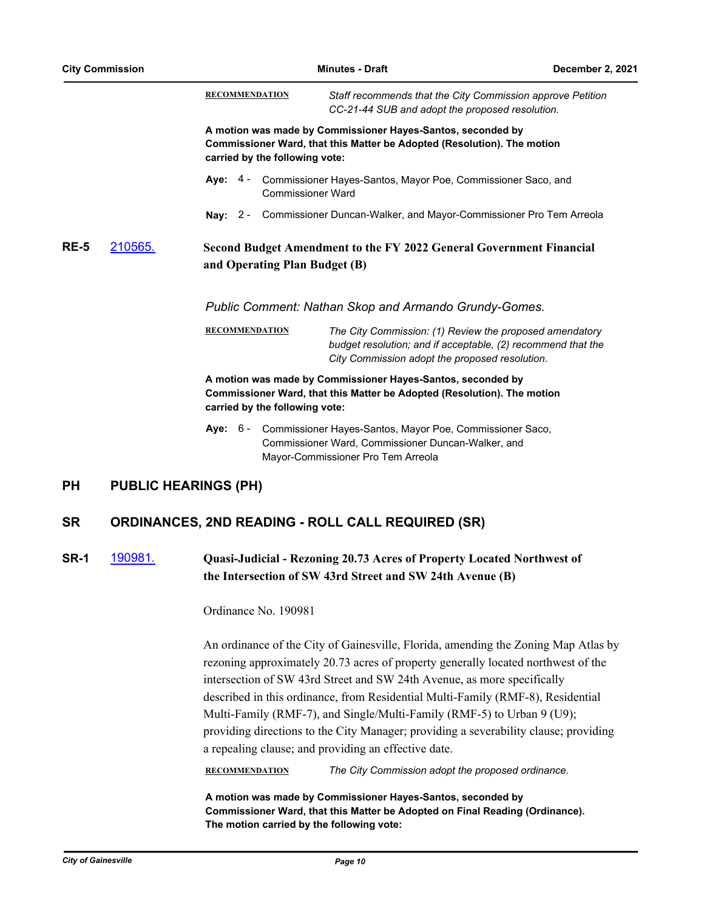| <b>City Commission</b> |         |                                | <b>Minutes - Draft</b>                                                                                                                                                    |  |
|------------------------|---------|--------------------------------|---------------------------------------------------------------------------------------------------------------------------------------------------------------------------|--|
|                        |         | <b>RECOMMENDATION</b>          | Staff recommends that the City Commission approve Petition<br>CC-21-44 SUB and adopt the proposed resolution.                                                             |  |
|                        |         | carried by the following vote: | A motion was made by Commissioner Hayes-Santos, seconded by<br>Commissioner Ward, that this Matter be Adopted (Resolution). The motion                                    |  |
|                        |         | <b>Commissioner Ward</b>       | Aye: 4 - Commissioner Hayes-Santos, Mayor Poe, Commissioner Saco, and                                                                                                     |  |
|                        |         | Nay: $2 -$                     | Commissioner Duncan-Walker, and Mayor-Commissioner Pro Tem Arreola                                                                                                        |  |
| <b>RE-5</b>            | 210565. | and Operating Plan Budget (B)  | Second Budget Amendment to the FY 2022 General Government Financial                                                                                                       |  |
|                        |         |                                | Public Comment: Nathan Skop and Armando Grundy-Gomes.                                                                                                                     |  |
|                        |         | <b>RECOMMENDATION</b>          | The City Commission: (1) Review the proposed amendatory<br>budget resolution; and if acceptable, (2) recommend that the<br>City Commission adopt the proposed resolution. |  |
|                        |         | carried by the following vote: | A motion was made by Commissioner Hayes-Santos, seconded by<br>Commissioner Ward, that this Matter be Adopted (Resolution). The motion                                    |  |
|                        |         | <b>Aye: 6 -</b>                | Commissioner Hayes-Santos, Mayor Poe, Commissioner Saco,<br>Commissioner Ward, Commissioner Duncan-Walker, and<br>Mayor-Commissioner Pro Tem Arreola                      |  |
| <b>PH</b>              |         | <b>PUBLIC HEARINGS (PH)</b>    |                                                                                                                                                                           |  |
| <b>SR</b>              |         |                                | <b>ORDINANCES, 2ND READING - ROLL CALL REQUIRED (SR)</b>                                                                                                                  |  |

## **SR-1** [190981.](http://gainesville.legistar.com/gateway.aspx?m=l&id=/matter.aspx?key=31262) **Quasi-Judicial - Rezoning 20.73 Acres of Property Located Northwest of the Intersection of SW 43rd Street and SW 24th Avenue (B)**

Ordinance No. 190981

An ordinance of the City of Gainesville, Florida, amending the Zoning Map Atlas by rezoning approximately 20.73 acres of property generally located northwest of the intersection of SW 43rd Street and SW 24th Avenue, as more specifically described in this ordinance, from Residential Multi-Family (RMF-8), Residential Multi-Family (RMF-7), and Single/Multi-Family (RMF-5) to Urban 9 (U9); providing directions to the City Manager; providing a severability clause; providing a repealing clause; and providing an effective date.

**RECOMMENDATION** *The City Commission adopt the proposed ordinance.*

**A motion was made by Commissioner Hayes-Santos, seconded by Commissioner Ward, that this Matter be Adopted on Final Reading (Ordinance). The motion carried by the following vote:**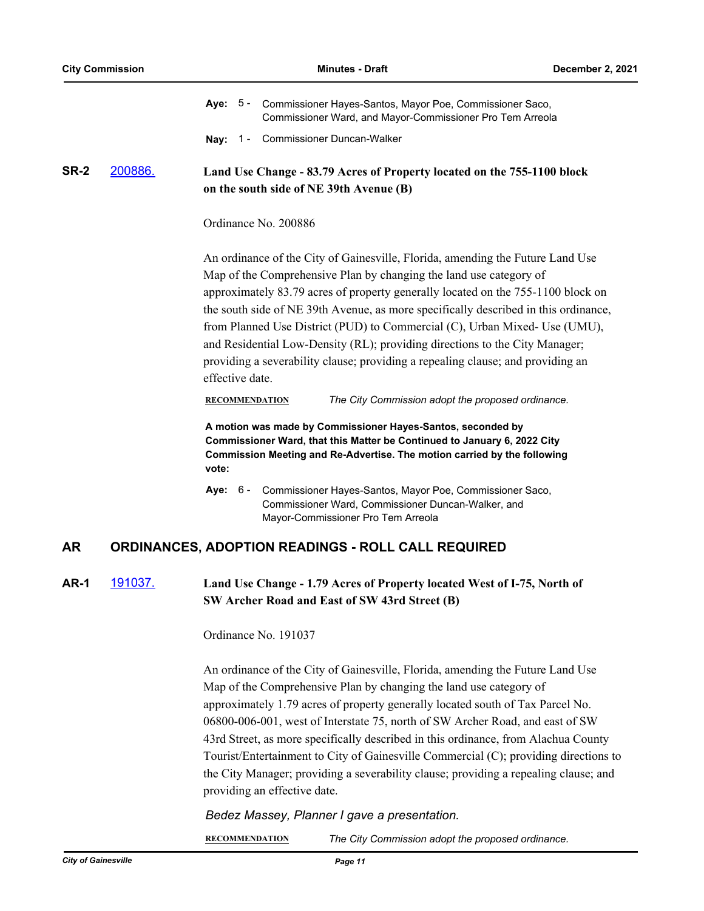|      |                | Aye: 5 - Commissioner Hayes-Santos, Mayor Poe, Commissioner Saco,<br>Commissioner Ward, and Mayor-Commissioner Pro Tem Arreola                                                                                                                                                                                                                                                                                                                                                                                                                                                                                                |
|------|----------------|-------------------------------------------------------------------------------------------------------------------------------------------------------------------------------------------------------------------------------------------------------------------------------------------------------------------------------------------------------------------------------------------------------------------------------------------------------------------------------------------------------------------------------------------------------------------------------------------------------------------------------|
|      |                | Nay: 1 - Commissioner Duncan-Walker                                                                                                                                                                                                                                                                                                                                                                                                                                                                                                                                                                                           |
| SR-2 | 200886.        | Land Use Change - 83.79 Acres of Property located on the 755-1100 block<br>on the south side of NE 39th Avenue (B)                                                                                                                                                                                                                                                                                                                                                                                                                                                                                                            |
|      |                | Ordinance No. 200886                                                                                                                                                                                                                                                                                                                                                                                                                                                                                                                                                                                                          |
|      |                | An ordinance of the City of Gainesville, Florida, amending the Future Land Use<br>Map of the Comprehensive Plan by changing the land use category of<br>approximately 83.79 acres of property generally located on the 755-1100 block on<br>the south side of NE 39th Avenue, as more specifically described in this ordinance,<br>from Planned Use District (PUD) to Commercial (C), Urban Mixed- Use (UMU),<br>and Residential Low-Density (RL); providing directions to the City Manager;<br>providing a severability clause; providing a repealing clause; and providing an<br>effective date.                            |
|      |                | The City Commission adopt the proposed ordinance.<br><b>RECOMMENDATION</b>                                                                                                                                                                                                                                                                                                                                                                                                                                                                                                                                                    |
|      |                | A motion was made by Commissioner Hayes-Santos, seconded by<br>Commissioner Ward, that this Matter be Continued to January 6, 2022 City<br>Commission Meeting and Re-Advertise. The motion carried by the following<br>vote:                                                                                                                                                                                                                                                                                                                                                                                                  |
|      |                | Commissioner Hayes-Santos, Mayor Poe, Commissioner Saco,<br><b>Aye: 6 -</b><br>Commissioner Ward, Commissioner Duncan-Walker, and<br>Mayor-Commissioner Pro Tem Arreola                                                                                                                                                                                                                                                                                                                                                                                                                                                       |
| AR   |                | <b>ORDINANCES, ADOPTION READINGS - ROLL CALL REQUIRED</b>                                                                                                                                                                                                                                                                                                                                                                                                                                                                                                                                                                     |
| AR-1 | <u>191037.</u> | Land Use Change - 1.79 Acres of Property located West of I-75, North of<br>SW Archer Road and East of SW 43rd Street (B)                                                                                                                                                                                                                                                                                                                                                                                                                                                                                                      |
|      |                | Ordinance No. 191037                                                                                                                                                                                                                                                                                                                                                                                                                                                                                                                                                                                                          |
|      |                | An ordinance of the City of Gainesville, Florida, amending the Future Land Use<br>Map of the Comprehensive Plan by changing the land use category of<br>approximately 1.79 acres of property generally located south of Tax Parcel No.<br>06800-006-001, west of Interstate 75, north of SW Archer Road, and east of SW<br>43rd Street, as more specifically described in this ordinance, from Alachua County<br>Tourist/Entertainment to City of Gainesville Commercial (C); providing directions to<br>the City Manager; providing a severability clause; providing a repealing clause; and<br>providing an effective date. |

## *Bedez Massey, Planner I gave a presentation.*

**RECOMMENDATION** *The City Commission adopt the proposed ordinance.*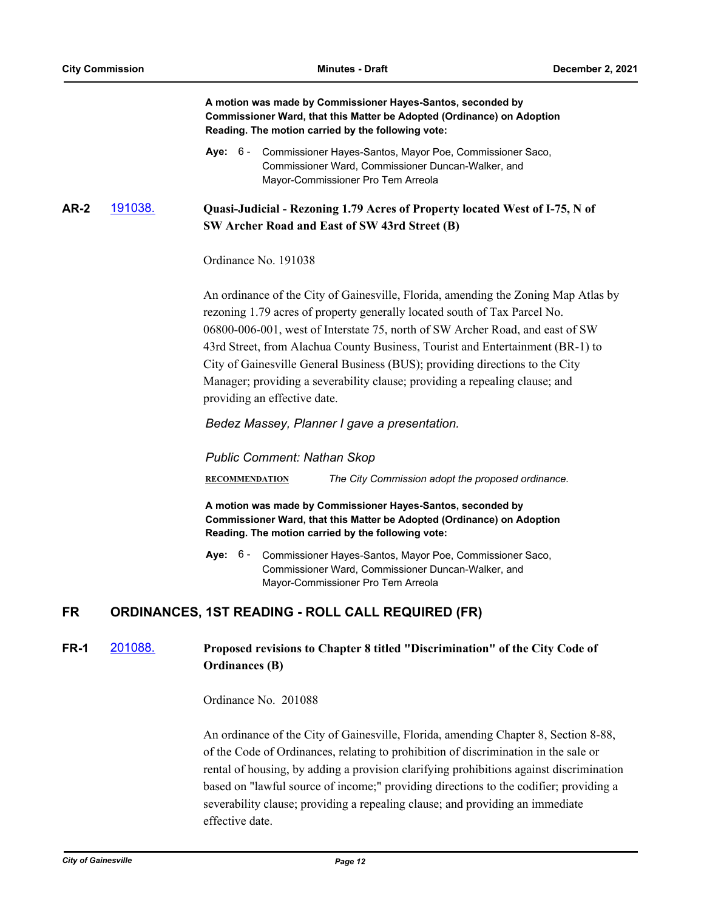**A motion was made by Commissioner Hayes-Santos, seconded by Commissioner Ward, that this Matter be Adopted (Ordinance) on Adoption Reading. The motion carried by the following vote:**

**AR-2** [191038.](http://gainesville.legistar.com/gateway.aspx?m=l&id=/matter.aspx?key=31319) **Quasi-Judicial - Rezoning 1.79 Acres of Property located West of I-75, N of SW Archer Road and East of SW 43rd Street (B)**

Ordinance No. 191038

An ordinance of the City of Gainesville, Florida, amending the Zoning Map Atlas by rezoning 1.79 acres of property generally located south of Tax Parcel No. 06800-006-001, west of Interstate 75, north of SW Archer Road, and east of SW 43rd Street, from Alachua County Business, Tourist and Entertainment (BR-1) to City of Gainesville General Business (BUS); providing directions to the City Manager; providing a severability clause; providing a repealing clause; and providing an effective date.

*Bedez Massey, Planner I gave a presentation.*

*Public Comment: Nathan Skop*

**RECOMMENDATION** *The City Commission adopt the proposed ordinance.*

**A motion was made by Commissioner Hayes-Santos, seconded by Commissioner Ward, that this Matter be Adopted (Ordinance) on Adoption Reading. The motion carried by the following vote:**

**Aye:** Commissioner Hayes-Santos, Mayor Poe, Commissioner Saco, Commissioner Ward, Commissioner Duncan-Walker, and Mayor-Commissioner Pro Tem Arreola Aye: 6 -

## **FR ORDINANCES, 1ST READING - ROLL CALL REQUIRED (FR)**

## **FR-1** [201088.](http://gainesville.legistar.com/gateway.aspx?m=l&id=/matter.aspx?key=32631) **Proposed revisions to Chapter 8 titled "Discrimination" of the City Code of Ordinances (B)**

Ordinance No. 201088

An ordinance of the City of Gainesville, Florida, amending Chapter 8, Section 8-88, of the Code of Ordinances, relating to prohibition of discrimination in the sale or rental of housing, by adding a provision clarifying prohibitions against discrimination based on "lawful source of income;" providing directions to the codifier; providing a severability clause; providing a repealing clause; and providing an immediate effective date.

Aye: 6 - Commissioner Hayes-Santos, Mayor Poe, Commissioner Saco, Commissioner Ward, Commissioner Duncan-Walker, and Mayor-Commissioner Pro Tem Arreola